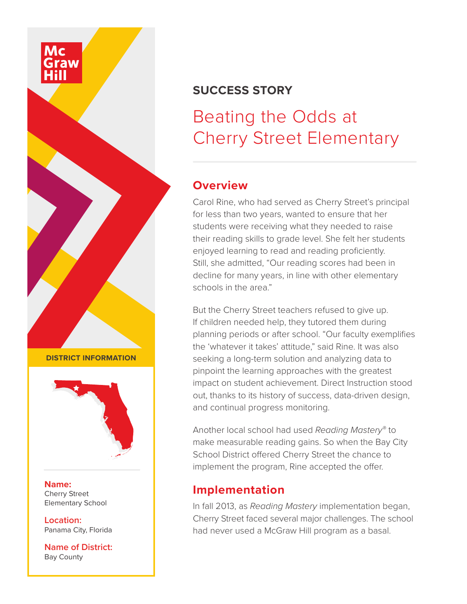

## **SUCCESS STORY**

# Beating the Odds at Cherry Street Elementary

### **Overview**

Carol Rine, who had served as Cherry Street's principal for less than two years, wanted to ensure that her students were receiving what they needed to raise their reading skills to grade level. She felt her students enjoyed learning to read and reading proficiently. Still, she admitted, "Our reading scores had been in decline for many years, in line with other elementary schools in the area."

But the Cherry Street teachers refused to give up. If children needed help, they tutored them during planning periods or after school. "Our faculty exemplifies the 'whatever it takes' attitude," said Rine. It was also seeking a long-term solution and analyzing data to pinpoint the learning approaches with the greatest impact on student achievement. Direct Instruction stood out, thanks to its history of success, data-driven design, and continual progress monitoring.

Another local school had used *Reading Mastery®* to make measurable reading gains. So when the Bay City School District offered Cherry Street the chance to implement the program, Rine accepted the offer.

## **Implementation**

In fall 2013, as *Reading Mastery* implementation began, Cherry Street faced several major challenges. The school had never used a McGraw Hill program as a basal.

**DISTRICT INFORMATION**



**Name:** Cherry Street Elementary School

**Location:** Panama City, Florida

**Name of District:** Bay County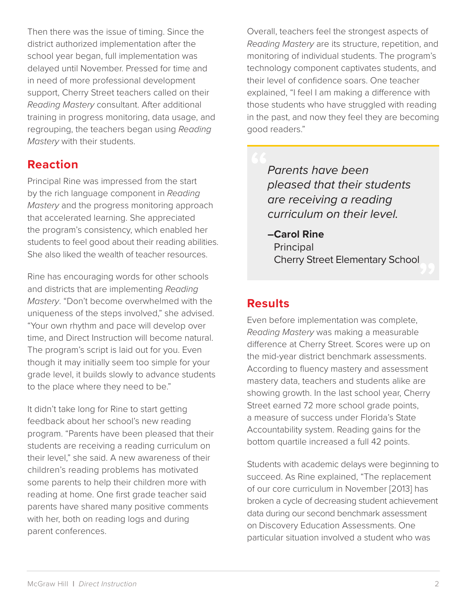Then there was the issue of timing. Since the district authorized implementation after the school year began, full implementation was delayed until November. Pressed for time and in need of more professional development support, Cherry Street teachers called on their *Reading Mastery* consultant. After additional training in progress monitoring, data usage, and regrouping, the teachers began using *Reading Mastery* with their students.

## **Reaction**

Principal Rine was impressed from the start by the rich language component in *Reading Mastery* and the progress monitoring approach that accelerated learning. She appreciated the program's consistency, which enabled her students to feel good about their reading abilities. She also liked the wealth of teacher resources.

Rine has encouraging words for other schools and districts that are implementing *Reading Mastery*. "Don't become overwhelmed with the uniqueness of the steps involved," she advised. "Your own rhythm and pace will develop over time, and Direct Instruction will become natural. The program's script is laid out for you. Even though it may initially seem too simple for your grade level, it builds slowly to advance students to the place where they need to be."

It didn't take long for Rine to start getting feedback about her school's new reading program. "Parents have been pleased that their students are receiving a reading curriculum on their level," she said. A new awareness of their children's reading problems has motivated some parents to help their children more with reading at home. One first grade teacher said parents have shared many positive comments with her, both on reading logs and during parent conferences.

Overall, teachers feel the strongest aspects of *Reading Mastery* are its structure, repetition, and monitoring of individual students. The program's technology component captivates students, and their level of confidence soars. One teacher explained, "I feel I am making a difference with those students who have struggled with reading in the past, and now they feel they are becoming good readers."

*Parents have been pleased that their students are receiving a reading curriculum on their level.*

**–Carol Rine Principal** Cherry Street Elementary School

## **Results**

Even before implementation was complete, *Reading Mastery* was making a measurable difference at Cherry Street. Scores were up on the mid-year district benchmark assessments. According to fluency mastery and assessment mastery data, teachers and students alike are showing growth. In the last school year, Cherry Street earned 72 more school grade points, a measure of success under Florida's State Accountability system. Reading gains for the bottom quartile increased a full 42 points.

Students with academic delays were beginning to succeed. As Rine explained, "The replacement of our core curriculum in November [2013] has broken a cycle of decreasing student achievement data during our second benchmark assessment on Discovery Education Assessments. One particular situation involved a student who was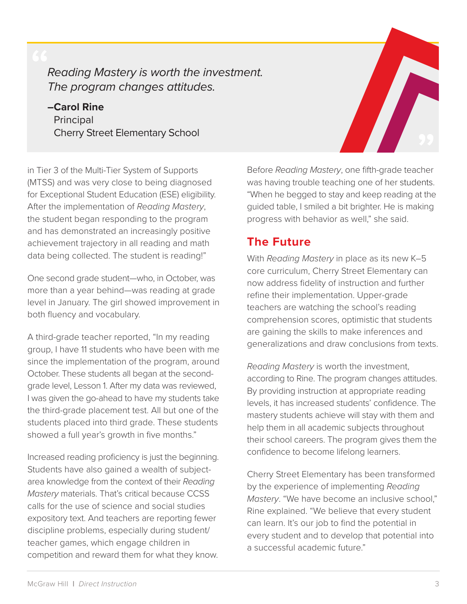# *Reading Mastery is worth the investment. The program changes attitudes.*

### **–Carol Rine Principal** Cherry Street Elementary School

in Tier 3 of the Multi-Tier System of Supports (MTSS) and was very close to being diagnosed for Exceptional Student Education (ESE) eligibility. After the implementation of *Reading Mastery*, the student began responding to the program and has demonstrated an increasingly positive achievement trajectory in all reading and math data being collected. The student is reading!"

One second grade student—who, in October, was more than a year behind—was reading at grade level in January. The girl showed improvement in both fluency and vocabulary.

A third-grade teacher reported, "In my reading group, I have 11 students who have been with me since the implementation of the program, around October. These students all began at the secondgrade level, Lesson 1. After my data was reviewed, I was given the go-ahead to have my students take the third-grade placement test. All but one of the students placed into third grade. These students showed a full year's growth in five months."

Increased reading proficiency is just the beginning. Students have also gained a wealth of subjectarea knowledge from the context of their *Reading Mastery* materials. That's critical because CCSS calls for the use of science and social studies expository text. And teachers are reporting fewer discipline problems, especially during student/ teacher games, which engage children in competition and reward them for what they know.

Before *Reading Mastery*, one fifth-grade teacher was having trouble teaching one of her students. "When he begged to stay and keep reading at the guided table, I smiled a bit brighter. He is making progress with behavior as well," she said.

## **The Future**

With *Reading Mastery* in place as its new K–5 core curriculum, Cherry Street Elementary can now address fidelity of instruction and further refine their implementation. Upper-grade teachers are watching the school's reading comprehension scores, optimistic that students are gaining the skills to make inferences and generalizations and draw conclusions from texts.

*Reading Mastery* is worth the investment, according to Rine. The program changes attitudes. By providing instruction at appropriate reading levels, it has increased students' confidence. The mastery students achieve will stay with them and help them in all academic subjects throughout their school careers. The program gives them the confidence to become lifelong learners.

Cherry Street Elementary has been transformed by the experience of implementing *Reading Mastery*. "We have become an inclusive school," Rine explained. "We believe that every student can learn. It's our job to find the potential in every student and to develop that potential into a successful academic future."